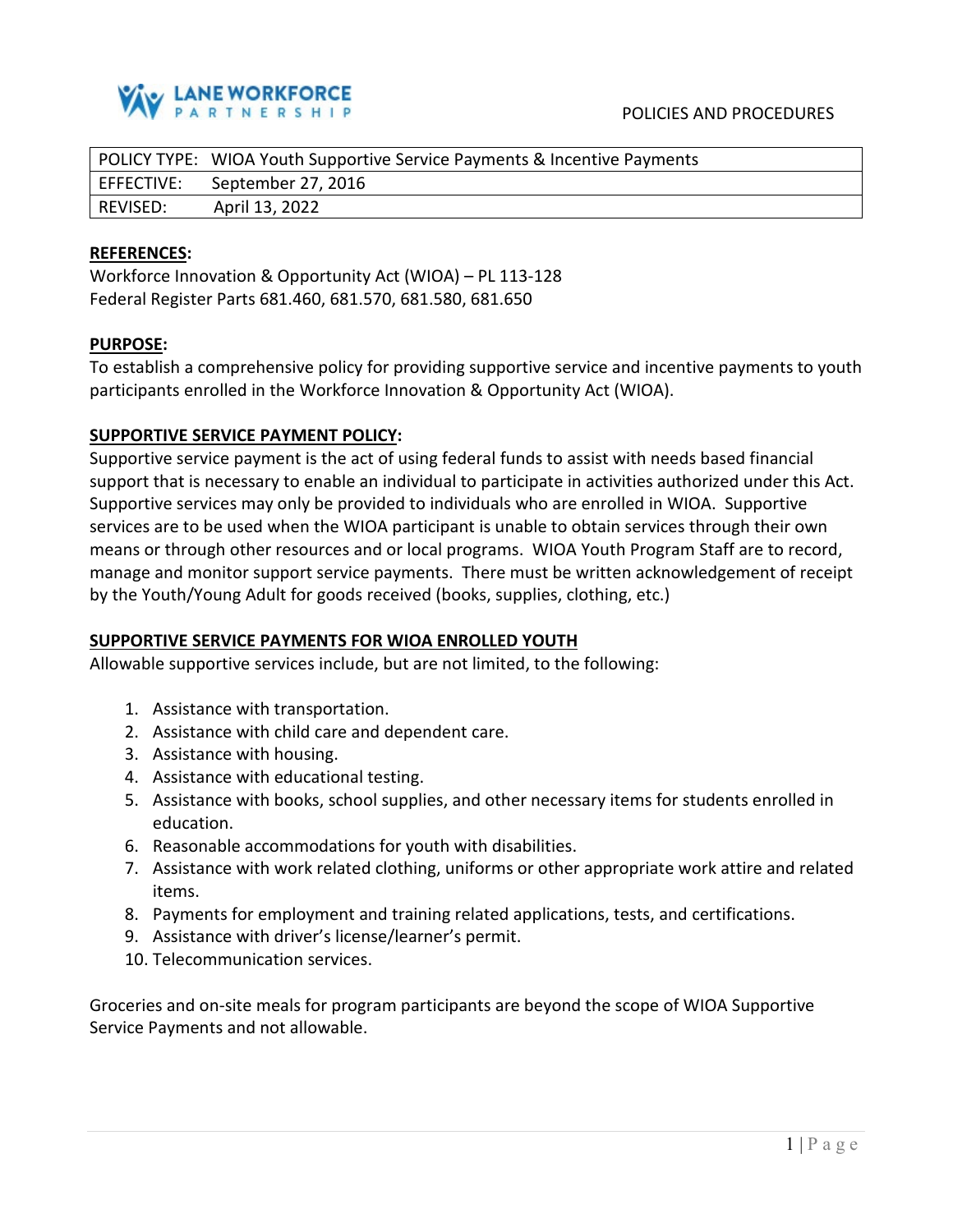

|            | POLICY TYPE: WIOA Youth Supportive Service Payments & Incentive Payments |
|------------|--------------------------------------------------------------------------|
| EFFECTIVE: | September 27, 2016                                                       |
| REVISED:   | April 13, 2022                                                           |

#### **REFERENCES:**

Workforce Innovation & Opportunity Act (WIOA) – PL 113-128 Federal Register Parts 681.460, 681.570, 681.580, 681.650

#### **PURPOSE:**

To establish a comprehensive policy for providing supportive service and incentive payments to youth participants enrolled in the Workforce Innovation & Opportunity Act (WIOA).

## **SUPPORTIVE SERVICE PAYMENT POLICY:**

Supportive service payment is the act of using federal funds to assist with needs based financial support that is necessary to enable an individual to participate in activities authorized under this Act. Supportive services may only be provided to individuals who are enrolled in WIOA. Supportive services are to be used when the WIOA participant is unable to obtain services through their own means or through other resources and or local programs. WIOA Youth Program Staff are to record, manage and monitor support service payments. There must be written acknowledgement of receipt by the Youth/Young Adult for goods received (books, supplies, clothing, etc.)

## **SUPPORTIVE SERVICE PAYMENTS FOR WIOA ENROLLED YOUTH**

Allowable supportive services include, but are not limited, to the following:

- 1. Assistance with transportation.
- 2. Assistance with child care and dependent care.
- 3. Assistance with housing.
- 4. Assistance with educational testing.
- 5. Assistance with books, school supplies, and other necessary items for students enrolled in education.
- 6. Reasonable accommodations for youth with disabilities.
- 7. Assistance with work related clothing, uniforms or other appropriate work attire and related items.
- 8. Payments for employment and training related applications, tests, and certifications.
- 9. Assistance with driver's license/learner's permit.
- 10. Telecommunication services.

Groceries and on-site meals for program participants are beyond the scope of WIOA Supportive Service Payments and not allowable.